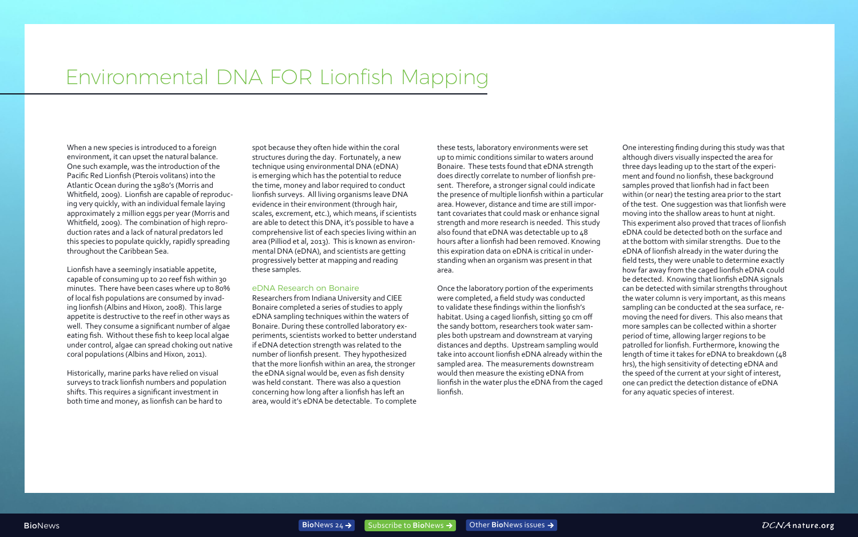## Environmental DNA FOR Lionfish Mapping

When a new species is introduced to a foreign environment, it can upset the natural balance. One such example, was the introduction of the Pacific Red Lionfish (Pterois volitans) into the Atlantic Ocean during the 1980's (Morris and Whitfield, 2009). Lionfish are capable of reproducing very quickly, with an individual female laying approximately 2 million eggs per year (Morris and Whitfield, 2009). The combination of high reproduction rates and a lack of natural predators led this species to populate quickly, rapidly spreading throughout the Caribbean Sea.

Lionfish have a seemingly insatiable appetite, capable of consuming up to 20 reef fish within 30 minutes. There have been cases where up to 80% of local fish populations are consumed by invading lionfish (Albins and Hixon, 2008). This large appetite is destructive to the reef in other ways as well. They consume a significant number of algae eating fish. Without these fish to keep local algae under control, algae can spread choking out native coral populations (Albins and Hixon, 2011).

Historically, marine parks have relied on visual surveys to track lionfish numbers and population shifts. This requires a significant investment in both time and money, as lionfish can be hard to

spot because they often hide within the coral structures during the day. Fortunately, a new technique using environmental DNA (eDNA) is emerging which has the potential to reduce the time, money and labor required to conduct lionfish surveys. All living organisms leave DNA evidence in their environment (through hair, scales, excrement, etc.), which means, if scientists are able to detect this DNA, it's possible to have a comprehensive list of each species living within an area (Pilliod et al, 2013). This is known as environmental DNA (eDNA), and scientists are getting progressively better at mapping and reading these samples.

## eDNA Research on Bonaire

Researchers from Indiana University and CIEE Bonaire completed a series of studies to apply eDNA sampling techniques within the waters of Bonaire. During these controlled laboratory experiments, scientists worked to better understand if eDNA detection strength was related to the number of lionfish present. They hypothesized that the more lionfish within an area, the stronger the eDNA signal would be, even as fish density was held constant. There was also a question concerning how long after a lionfish has left an area, would it's eDNA be detectable. To complete

these tests, laboratory environments were set up to mimic conditions similar to waters around Bonaire. These tests found that eDNA strength does directly correlate to number of lionfish present. Therefore, a stronger signal could indicate the presence of multiple lionfish within a particular area. However, distance and time are still important covariates that could mask or enhance signal strength and more research is needed. This study also found that eDNA was detectable up to 48 hours after a lionfish had been removed. Knowing this expiration data on eDNA is critical in understanding when an organism was present in that area.

Once the laboratory portion of the experiments were completed, a field study was conducted to validate these findings within the lionfish's habitat. Using a caged lionfish, sitting 50 cm off the sandy bottom, researchers took water samples both upstream and downstream at varying distances and depths. Upstream sampling would take into account lionfish eDNA already within the sampled area. The measurements downstream would then measure the existing eDNA from lionfish in the water plus the eDNA from the caged lionfish.

One interesting finding during this study was that although divers visually inspected the area for three days leading up to the start of the experiment and found no lionfish, these background samples proved that lionfish had in fact been within (or near) the testing area prior to the start of the test. One suggestion was that lionfish were moving into the shallow areas to hunt at night. This experiment also proved that traces of lionfish eDNA could be detected both on the surface and at the bottom with similar strengths. Due to the eDNA of lionfish already in the water during the field tests, they were unable to determine exactly how far away from the caged lionfish eDNA could be detected. Knowing that lionfish eDNA signals can be detected with similar strengths throughout the water column is very important, as this means sampling can be conducted at the sea surface, removing the need for divers. This also means that more samples can be collected within a shorter period of time, allowing larger regions to be patrolled for lionfish. Furthermore, knowing the length of time it takes for eDNA to breakdown (48 hrs), the high sensitivity of detecting eDNA and the speed of the current at your sight of interest, one can predict the detection distance of eDNA for any aquatic species of interest.